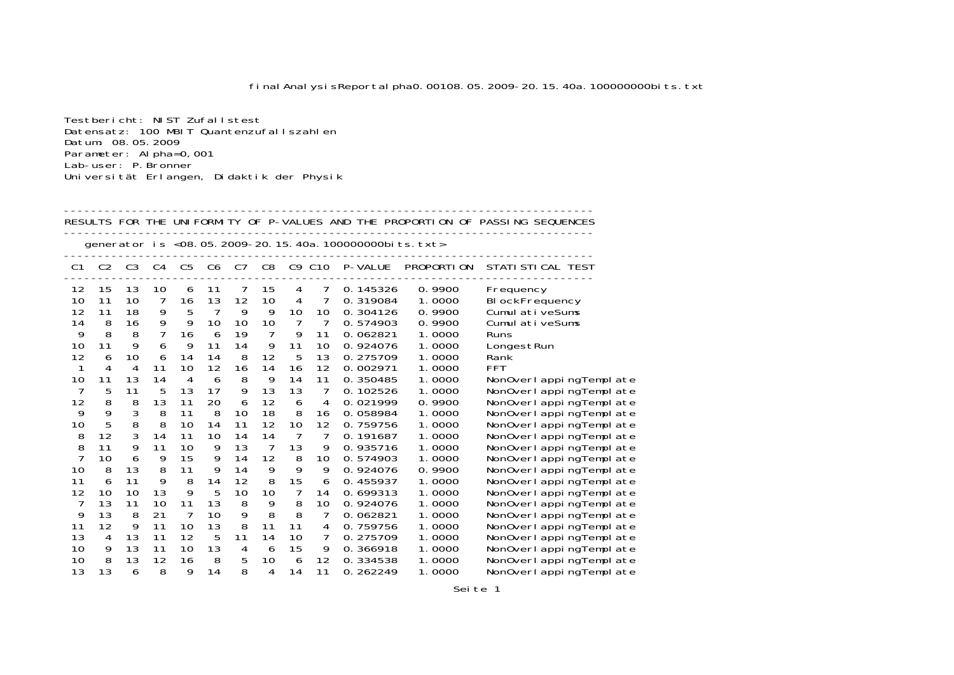Testbericht: NIST Zufallstest Datensatz: 100 MBIT Quantenzufallszahlen Datum: 08.05.2009Parameter: Alpha=0,001 Lab-user: P.Bronner Universität Erlangen, Didaktik der Physik

|                                                                                                                                           |                                                                                                                                       |                                                                                                                                                             |                                                                                                                                                     |                                                                                                                                                         |                                                                                                                                                       |                                                                                                                                         |                                                                                                                                                                    |                                                                                                                                                                             |                                                                                                                                                                                                                                  |                                                                                                                                                                                                                                                                                                          |                                                                                                                                                                                                                                                        | RESULTS FOR THE UNIFORMITY OF P-VALUES AND THE PROPORTION OF PASSING SEQUENCES                                                                                                                                                                                                                                                                                                                                                                                                                                                                                               |
|-------------------------------------------------------------------------------------------------------------------------------------------|---------------------------------------------------------------------------------------------------------------------------------------|-------------------------------------------------------------------------------------------------------------------------------------------------------------|-----------------------------------------------------------------------------------------------------------------------------------------------------|---------------------------------------------------------------------------------------------------------------------------------------------------------|-------------------------------------------------------------------------------------------------------------------------------------------------------|-----------------------------------------------------------------------------------------------------------------------------------------|--------------------------------------------------------------------------------------------------------------------------------------------------------------------|-----------------------------------------------------------------------------------------------------------------------------------------------------------------------------|----------------------------------------------------------------------------------------------------------------------------------------------------------------------------------------------------------------------------------|----------------------------------------------------------------------------------------------------------------------------------------------------------------------------------------------------------------------------------------------------------------------------------------------------------|--------------------------------------------------------------------------------------------------------------------------------------------------------------------------------------------------------------------------------------------------------|------------------------------------------------------------------------------------------------------------------------------------------------------------------------------------------------------------------------------------------------------------------------------------------------------------------------------------------------------------------------------------------------------------------------------------------------------------------------------------------------------------------------------------------------------------------------------|
|                                                                                                                                           |                                                                                                                                       |                                                                                                                                                             |                                                                                                                                                     |                                                                                                                                                         |                                                                                                                                                       |                                                                                                                                         |                                                                                                                                                                    |                                                                                                                                                                             |                                                                                                                                                                                                                                  | generator is <08.05.2009-20.15.40a.100000000bits.txt>                                                                                                                                                                                                                                                    |                                                                                                                                                                                                                                                        |                                                                                                                                                                                                                                                                                                                                                                                                                                                                                                                                                                              |
|                                                                                                                                           |                                                                                                                                       |                                                                                                                                                             |                                                                                                                                                     |                                                                                                                                                         |                                                                                                                                                       |                                                                                                                                         |                                                                                                                                                                    |                                                                                                                                                                             |                                                                                                                                                                                                                                  |                                                                                                                                                                                                                                                                                                          |                                                                                                                                                                                                                                                        |                                                                                                                                                                                                                                                                                                                                                                                                                                                                                                                                                                              |
| C1                                                                                                                                        | C <sub>2</sub>                                                                                                                        | C <sub>3</sub>                                                                                                                                              | C4                                                                                                                                                  | C5                                                                                                                                                      | C6                                                                                                                                                    | C7                                                                                                                                      | C <sub>8</sub>                                                                                                                                                     |                                                                                                                                                                             | C9 C10                                                                                                                                                                                                                           | P-VALUE                                                                                                                                                                                                                                                                                                  | PROPORTI ON                                                                                                                                                                                                                                            | STATI STI CAL TEST                                                                                                                                                                                                                                                                                                                                                                                                                                                                                                                                                           |
| 12<br>10<br>12<br>14<br>9<br>10<br>12<br>1<br>10<br>7<br>12<br>9<br>10<br>8<br>8<br>7<br>10<br>11<br>12<br>7<br>9<br>11<br>13<br>10<br>10 | 15<br>11<br>11<br>8<br>8<br>11<br>6<br>4<br>11<br>5<br>8<br>9<br>5<br>12<br>11<br>10<br>8<br>6<br>10<br>13<br>13<br>12<br>4<br>9<br>8 | 13<br>10<br>18<br>16<br>8<br>9<br>10<br>4<br>13<br>11<br>8<br>$\frac{3}{8}$<br>$\overline{3}$<br>9<br>6<br>13<br>11<br>10<br>11<br>8<br>9<br>13<br>13<br>13 | 10<br>7<br>9<br>9<br>$\overline{7}$<br>6<br>6<br>11<br>14<br>5<br>13<br>8<br>8<br>14<br>11<br>9<br>8<br>9<br>13<br>10<br>21<br>11<br>11<br>11<br>12 | 6<br>16<br>5<br>9<br>16<br>9<br>14<br>10<br>4<br>13<br>11<br>11<br>10<br>11<br>10<br>15<br>11<br>8<br>9<br>11<br>$\overline{7}$<br>10<br>12<br>10<br>16 | 11<br>13<br>$\overline{7}$<br>10<br>6<br>11<br>14<br>12<br>6<br>17<br>20<br>8<br>14<br>10<br>9<br>9<br>9<br>14<br>5<br>13<br>10<br>13<br>5<br>13<br>8 | 7<br>12<br>9<br>10<br>19<br>14<br>8<br>16<br>8<br>9<br>6<br>10<br>11<br>14<br>13<br>14<br>14<br>12<br>10<br>8<br>9<br>8<br>11<br>4<br>5 | 15<br>10<br>9<br>10<br>$\overline{7}$<br>9<br>12<br>14<br>9<br>13<br>12<br>18<br>12<br>14<br>$\overline{7}$<br>12<br>9<br>8<br>10<br>9<br>8<br>11<br>14<br>6<br>10 | 4<br>4<br>10<br>$\overline{7}$<br>9<br>11<br>5<br>16<br>14<br>13<br>6<br>8<br>10<br>$\overline{7}$<br>13<br>8<br>9<br>15<br>$\overline{7}$<br>8<br>8<br>11<br>10<br>15<br>6 | 7<br>7<br>10<br>$\overline{7}$<br>11<br>10<br>13<br>12<br>11<br>$\overline{7}$<br>$\overline{4}$<br>16<br>12<br>$\overline{7}$<br>9<br>10<br>9<br>6<br>14<br>10<br>$\overline{7}$<br>$\overline{4}$<br>$\overline{7}$<br>9<br>12 | 0.145326<br>0.319084<br>0.304126<br>0.574903<br>0.062821<br>0.924076<br>0.275709<br>0.002971<br>0.350485<br>0.102526<br>0.021999<br>0.058984<br>0.759756<br>0.191687<br>0.935716<br>0.574903<br>0.924076<br>0.455937<br>0.699313<br>0.924076<br>0.062821<br>0.759756<br>0.275709<br>0.366918<br>0.334538 | 0.9900<br>1.0000<br>0.9900<br>0.9900<br>1.0000<br>1.0000<br>1.0000<br>1.0000<br>1.0000<br>1.0000<br>0.9900<br>1.0000<br>1.0000<br>1.0000<br>1.0000<br>1.0000<br>0.9900<br>1.0000<br>1.0000<br>1.0000<br>1.0000<br>1.0000<br>1.0000<br>1.0000<br>1.0000 | Frequency<br><b>BI ockFrequency</b><br>Cumul ati veSums<br>CumulativeSums<br>Runs<br>LongestRun<br>Rank<br><b>FFT</b><br>NonOverl appingTemplate<br>NonOverl appingTemplate<br>NonOverl appingTempl ate<br>NonOverl appingTemplate<br>NonOverl appingTempl ate<br>NonOverl appingTemplate<br>Non0verl appingTempl ate<br>NonOverl appingTemplate<br>NonOverl appingTempl ate<br>NonOverl appingTempl ate<br>NonOverl appingTempl ate<br>NonOverl appingTemplate<br>NonOverl appingTemplate<br>NonOverl appingTemplate<br>NonOverl appingTempl ate<br>NonOverl appingTemplate |
| 13                                                                                                                                        | 13                                                                                                                                    | 6                                                                                                                                                           | 8                                                                                                                                                   | 9                                                                                                                                                       | 14                                                                                                                                                    | 8                                                                                                                                       | 4                                                                                                                                                                  | 14                                                                                                                                                                          | 11                                                                                                                                                                                                                               | 0.262249                                                                                                                                                                                                                                                                                                 | 1.0000                                                                                                                                                                                                                                                 | NonOverl appingTempl ate<br>NonOverl appingTemplate                                                                                                                                                                                                                                                                                                                                                                                                                                                                                                                          |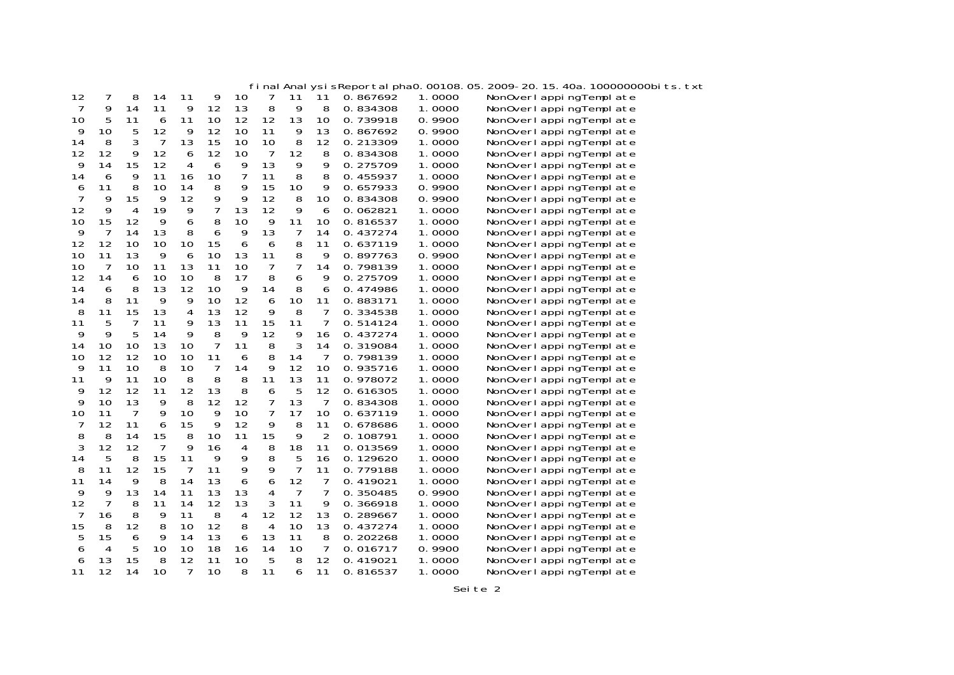|                |                |                |                |                |                |                |                |                     |                      |                      |                  | final Anal ysi sReportal pha0. 00108. 05. 2009-20. 15. 40a. 100000000bits. txt |  |
|----------------|----------------|----------------|----------------|----------------|----------------|----------------|----------------|---------------------|----------------------|----------------------|------------------|--------------------------------------------------------------------------------|--|
| 12             | 7              | 8              | 14             | 11             | 9              | 10             | 7              | 11                  | 11                   | 0.867692             | 1.0000           | NonOverl appingTemplate                                                        |  |
| 7              | 9              | 14             | 11             | 9              | 12             | 13             | 8              | 9                   | 8                    | 0.834308             | 1.0000           | NonOverl appingTemplate                                                        |  |
| 10             | 5              | 11             | 6              | 11             | 10             | 12             | 12             | 13                  | 10                   | 0.739918             | 0.9900           | NonOverl appingTemplate                                                        |  |
| 9              | 10             | 5              | 12             | 9              | 12             | 10             | 11             | 9                   | 13                   | 0.867692             | 0.9900           | NonOverl appingTemplate                                                        |  |
| 14             | 8              | 3              | $\overline{7}$ | 13             | 15             | 10             | 10             | 8                   | 12                   | 0.213309             | 1.0000           | NonOverl appingTemplate                                                        |  |
| 12             | 12             | 9              | 12             | 6              | 12             | 10             | $\overline{7}$ | 12                  | 8                    | 0.834308             | 1.0000           | NonOverl appingTemplate                                                        |  |
| 9              | 14             | 15             | 12             | 4              | 6              | 9              | 13             | 9                   | 9                    | 0.275709             | 1.0000           | NonOverl appingTemplate                                                        |  |
| 14             | 6              | 9              | 11             | 16             | 10             | $\overline{7}$ | 11             | 8                   | 8                    | 0.455937             | 1.0000           | NonOverl appingTemplate                                                        |  |
| 6              | 11             | 8              | 10             | 14             | 8              | 9              | 15             | 10                  | 9                    | 0.657933             | 0.9900           | NonOverlappingTemplate                                                         |  |
| 7              | 9              | 15             | 9              | 12             | 9              | 9              | 12             | 8                   | 10                   | 0.834308             | 0.9900           | NonOverl appingTemplate                                                        |  |
| 12             | 9              | $\overline{4}$ | 19             | 9              | 7              | 13             | 12             | 9                   | 6                    | 0.062821             | 1.0000           | NonOverl appingTemplate                                                        |  |
| 10             | 15             | 12             | -9             | 6              | 8              | 10             | 9              | 11                  | 10                   | 0.816537             | 1.0000           | NonOverl appingTemplate                                                        |  |
| 9              | $\overline{7}$ | 14             | 13             | 8              | 6              | 9              | 13             | $\overline{7}$      | 14                   | 0.437274             | 1.0000           | NonOverl appingTemplate                                                        |  |
| 12             | 12             | 10             | 10             | 10             | 15             | 6              | 6              | 8                   | 11                   | 0.637119             | 1.0000           | NonOverl appingTemplate                                                        |  |
| 10             | 11             | 13             | 9              | 6              | 10             | 13             | 11             | 8                   | 9                    | 0.897763             | 0.9900           | NonOverl appingTemplate                                                        |  |
| 10             | 7              | 10             | 11             | 13             | 11             | 10             | $\overline{7}$ | $\overline{7}$      | 14                   | 0.798139             | 1.0000           | NonOverl appingTemplate                                                        |  |
| 12             | 14             | 6              | 10             | 10             | 8              | 17             | 8              | 6                   | 9                    | 0.275709             | 1.0000           | NonOverl appingTemplate                                                        |  |
| 14             | 6              | 8              | 13             | 12             | 10             | 9              | 14             | 8                   | 6                    | 0.474986             | 1.0000           | NonOverl appingTemplate                                                        |  |
| 14             | 8              | 11             | 9              | 9              | 10             | 12             | 6              | 10                  | 11                   | 0.883171             | 1.0000           | NonOverl appingTemplate                                                        |  |
| 8              | 11             | 15             | 13             | 4              | 13             | 12             | 9              | 8                   | $\overline{7}$       | 0.334538             | 1.0000           | NonOverl appingTemplate                                                        |  |
| 11             | 5              | 7              | 11             | 9              | 13             | 11             | 15             | 11                  | 7                    | 0.514124             | 1.0000           | NonOverl appingTemplate                                                        |  |
| 9              | 9              | 5              | 14             | 9              | 8              | 9              | 12             | 9                   | 16                   | 0.437274             | 1.0000           | NonOverl appingTemplate                                                        |  |
| 14             | 10             | 10             | 13             | 10             | $\overline{7}$ | 11             | 8              | 3                   | 14                   | 0.319084             | 1.0000           | NonOverl appingTemplate                                                        |  |
| 10             | 12             | 12             | 10             | 10             | 11             | 6              | 8              | 14                  | 7                    | 0.798139             | 1.0000           | NonOverl appingTemplate                                                        |  |
| 9              | 11             | 10             | 8              | 10             | $\overline{7}$ | 14             | 9              | 12                  | 10                   | 0.935716             | 1.0000           | NonOverl appingTemplate                                                        |  |
| 11             | 9              | 11             | 10             | 8              | 8              | 8              | 11             | 13                  | 11                   | 0.978072             | 1.0000           | NonOverl appingTemplate                                                        |  |
| 9              | 12             | 12             | 11             | 12             | 13             | 8              | 6              | 5                   | 12                   | 0.616305             | 1.0000           | NonOverl appingTemplate                                                        |  |
| 9              | 10             | 13             | 9              | 8              | 12             | 12             | $\overline{7}$ | 13                  | $\overline{7}$       | 0.834308             | 1.0000           | NonOverl appingTemplate                                                        |  |
| 10             | 11             | $\overline{7}$ | 9              | 10             | 9              | 10             | $\overline{7}$ | 17                  | 10                   | 0.637119             | 1.0000           | NonOverl appingTemplate                                                        |  |
| 7              | 12             | 11             | 6              | 15             | 9              | 12             | 9<br>15        | 8                   | 11                   | 0.678686             | 1.0000           | NonOverl appingTemplate                                                        |  |
| 8<br>3         | 8<br>12        | 14<br>12       | 15             | 8<br>9         | 10<br>16       | 11             |                | 9<br>18             | $\overline{2}$<br>11 | 0.108791             | 1.0000           | NonOverl appingTemplate                                                        |  |
| 14             | 5              | 8              | 7<br>15        | 11             | 9              | 4              | 8<br>8         |                     | 16                   | 0.013569<br>0.129620 | 1.0000<br>1.0000 | NonOverl appingTemplate                                                        |  |
|                | 11             | 12             | 15             | 7              | 11             | 9<br>9         | 9              | 5<br>$\overline{7}$ | 11                   |                      |                  | NonOverl appingTemplate                                                        |  |
| 8              | 14             | 9              | 8              | 14             | 13             |                |                | 12                  | $\overline{7}$       | 0.779188<br>0.419021 | 1.0000<br>1.0000 | NonOverl appingTemplate                                                        |  |
| 11<br>9        | 9              | 13             | 14             | 11             | 13             | 6<br>13        | 6              | $\overline{7}$      | $\overline{7}$       | 0.350485             | 0.9900           | NonOverl appingTemplate                                                        |  |
| 12             | 7              | 8              | 11             | 14             | 12             | 13             | 4<br>3         | 11                  | 9                    | 0.366918             | 1.0000           | NonOverl appingTemplate                                                        |  |
| $\overline{7}$ | 16             | 8              | 9              | 11             | 8              | $\overline{4}$ | 12             | 12                  | 13                   | 0.289667             | 1.0000           | NonOverl appingTemplate                                                        |  |
| 15             | 8              | 12             | 8              | 10             | 12             | 8              | 4              | 10                  | 13                   | 0.437274             | 1.0000           | NonOverl appingTemplate                                                        |  |
| 5              | 15             | 6              | 9              | 14             | 13             | 6              | 13             | 11                  | 8                    | 0.202268             | 1.0000           | NonOverl appingTemplate                                                        |  |
| 6              | 4              | 5              | 10             | 10             | 18             | 16             | 14             | 10                  | $\overline{7}$       | 0.016717             | 0.9900           | NonOverl appingTemplate<br>NonOverl appingTemplate                             |  |
| 6              | 13             | 15             | 8              | 12             | 11             | 10             | 5              | 8                   | 12                   | 0.419021             | 1.0000           | NonOverl appingTemplate                                                        |  |
| 11             | 12             | 14             | 10             | $\overline{7}$ | 10             | 8              | 11             | 6                   | 11                   | 0.816537             | 1.0000           | NonOverl appingTemplate                                                        |  |
|                |                |                |                |                |                |                |                |                     |                      |                      |                  |                                                                                |  |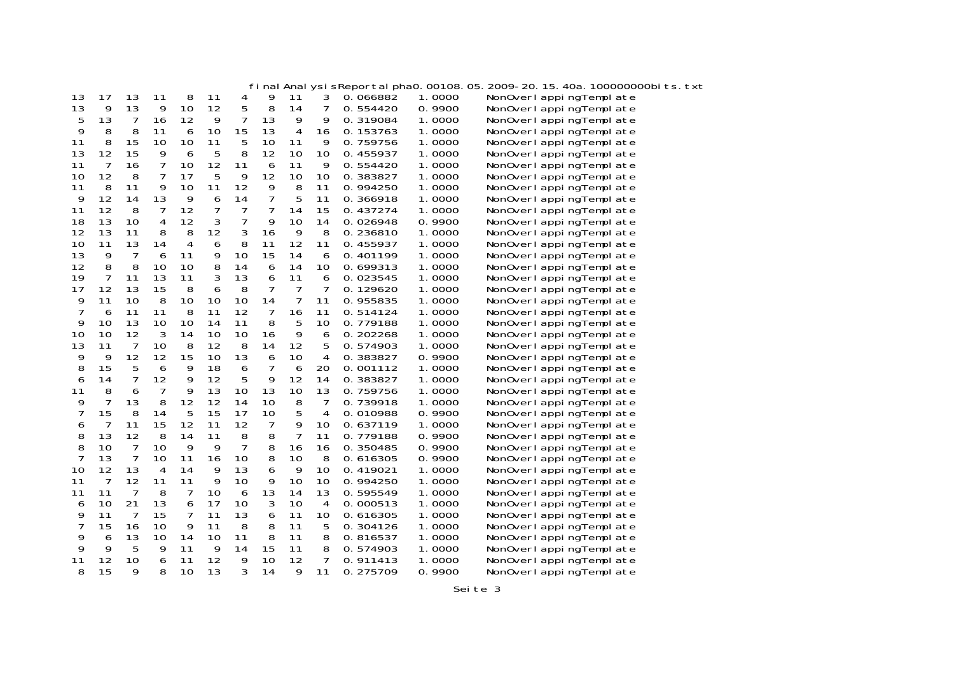|                     |                |                                  |                |                     |                |                |                  |                |                |                      |                  | final Anal ysi sReportal pha0. 00108. 05. 2009-20. 15. 40a. 100000000bits. txt |  |
|---------------------|----------------|----------------------------------|----------------|---------------------|----------------|----------------|------------------|----------------|----------------|----------------------|------------------|--------------------------------------------------------------------------------|--|
| 13                  | 17             | 13                               | 11             | 8                   | 11             | 4              | 9                | 11             | 3              | 0.066882             | 1.0000           | NonOverl appingTemplate                                                        |  |
| 13                  | 9              | 13                               | 9              | 10                  | 12             | 5              | 8                | 14             | 7              | 0.554420             | 0.9900           | NonOverl appingTemplate                                                        |  |
| 5                   | 13             | $\overline{7}$                   | 16             | 12                  | 9              | $\overline{7}$ | 13               | 9              | 9              | 0.319084             | 1.0000           | NonOverl appingTemplate                                                        |  |
| 9                   | 8              | 8                                | 11             | 6                   | 10             | 15             | 13               | $\overline{4}$ | 16             | 0.153763             | 1.0000           | NonOverl appingTemplate                                                        |  |
| 11                  | 8              | 15                               | 10             | 10                  | 11             | 5              | 10               | 11             | 9              | 0.759756             | 1.0000           | NonOverl appingTemplate                                                        |  |
| 13                  | 12             | 15                               | 9              | 6                   | 5              | 8              | 12               | 10             | 10             | 0.455937             | 1.0000           | NonOverlappingTemplate                                                         |  |
| 11                  | $\overline{7}$ | 16                               | 7              | 10                  | 12             | 11             | 6                | 11             | 9              | 0.554420             | 1.0000           | NonOverl appingTemplate                                                        |  |
| 10                  | 12             | 8                                | $\overline{7}$ | 17                  | 5              | 9              | 12               | 10             | 10             | 0.383827             | 1.0000           | NonOverl appingTemplate                                                        |  |
| 11                  | 8              | 11                               | 9              | 10                  | 11             | 12             | 9                | 8              | 11             | 0.994250             | 1.0000           | NonOverlappingTemplate                                                         |  |
| 9                   | 12             | 14                               | 13             | 9                   | 6              | 14             | $\boldsymbol{7}$ | 5              | 11             | 0.366918             | 1.0000           | NonOverl appingTemplate                                                        |  |
| 11                  | 12             | 8                                | $\overline{7}$ | 12                  | $\overline{7}$ | $\overline{7}$ | $\overline{7}$   | 14             | 15             | 0.437274             | 1.0000           | NonOverl appingTemplate                                                        |  |
| 18                  | 13             | 10                               | 4              | 12                  | $\sqrt{3}$     | 7              | 9                | 10             | 14             | 0.026948             | 0.9900           | NonOverl appingTemplate                                                        |  |
| 12                  | 13             | 11                               | 8              | 8                   | 12             | 3              | 16               | 9              | 8              | 0.236810             | 1.0000           | NonOverl appingTemplate                                                        |  |
| 10                  | 11             | 13                               | 14             | $\overline{4}$      | 6              | 8              | 11               | 12             | 11             | 0.455937             | 1.0000           | NonOverl appingTemplate                                                        |  |
| 13                  | 9              | $\overline{7}$                   | 6              | 11                  | 9              | 10             | 15               | 14             | 6              | 0.401199             | 1.0000           | NonOverl appingTemplate                                                        |  |
| 12                  | 8              | 8                                | 10             | 10                  | 8              | 14             | 6                | 14             | 10             | 0.699313             | 1.0000           | NonOverl appingTemplate                                                        |  |
| 19                  | 7              | 11                               | 13             | 11                  | $\sqrt{3}$     | 13             | 6                | 11             | 6              | 0.023545             | 1.0000           | NonOverl appingTemplate                                                        |  |
| 17                  | 12             | 13                               | 15             | 8                   | 6              | 8              | $\overline{7}$   | 7              | $\overline{7}$ | 0.129620             | 1.0000           | NonOverl appingTemplate                                                        |  |
| 9                   | 11             | 10                               | 8              | 10                  | 10             | 10             | 14               | $\overline{7}$ | 11             | 0.955835             | 1.0000           | NonOverl appingTemplate                                                        |  |
| 7                   | 6              | 11                               | 11             | 8                   | 11             | 12             | $\overline{7}$   | 16             | 11             | 0.514124             | 1.0000           | Non0verl appingTemplate                                                        |  |
| 9                   | 10             | 13                               | 10             | 10                  | 14             | 11             | 8                | 5              | 10             | 0.779188             | 1.0000           | NonOverl appingTemplate                                                        |  |
| 10                  | 10             | 12                               | 3              | 14                  | 10             | 10             | 16               | 9              | 6              | 0.202268             | 1.0000           | NonOverl appingTemplate                                                        |  |
| 13                  | 11             | $\overline{7}$                   | 10             | 8                   | 12             | 8              | 14               | 12             | 5              | 0.574903             | 1.0000           | NonOverl appingTemplate                                                        |  |
| 9                   | 9              | 12                               | 12             | 15                  | 10             | 13             | 6                | 10             | $\overline{4}$ | 0.383827             | 0.9900           | NonOverl appingTemplate                                                        |  |
| 8                   | 15             | 5                                | 6              | 9                   | 18             | 6              | 7                | 6              | 20             | 0.001112             | 1.0000           | NonOverl appingTemplate                                                        |  |
| 6                   | 14             | $\overline{7}$                   | 12             | 9                   | 12             | 5              | 9                | 12             | 14             | 0.383827             | 1.0000           | NonOverl appingTemplate                                                        |  |
| 11                  | 8              | 6                                | $\overline{7}$ | 9                   | 13             | 10             | 13               | 10             | 13             | 0.759756             | 1.0000           | NonOverl appingTemplate                                                        |  |
| 9                   | $\overline{7}$ | 13                               | 8              | 12                  | 12             | 14             | 10               | 8              | 7              | 0.739918             | 1.0000           | NonOverl appingTemplate                                                        |  |
| 7                   | 15             | 8                                | 14             | 5                   | 15             | 17             | 10               | 5<br>9         | 4              | 0.010988             | 0.9900           | NonOverl appingTemplate                                                        |  |
| 6                   | $\overline{7}$ | 11                               | 15             | 12                  | 11             | 12             | $\overline{7}$   |                | 10             | 0.637119             | 1.0000           | NonOverl appingTemplate                                                        |  |
| 8                   | 13             | 12                               | 8              | 14                  | 11             | 8              | 8                | $\overline{7}$ | 11             | 0.779188             | 0.9900           | NonOverl appingTemplate                                                        |  |
| 8<br>$\overline{7}$ | 10             | $\overline{7}$<br>$\overline{7}$ | 10             | 9                   | 9              | 7              | 8                | 16<br>10       | 16             | 0.350485             | 0.9900           | NonOverl appingTemplate                                                        |  |
| 10                  | 13<br>12       | 13                               | 10<br>4        | 11<br>14            | 16<br>9        | 10<br>13       | 8<br>6           | 9              | 8<br>10        | 0.616305<br>0.419021 | 0.9900<br>1.0000 | NonOverl appingTemplate                                                        |  |
| 11                  | $\overline{7}$ | 12                               |                | 11                  | 9              |                | 9                |                | 10             | 0.994250             | 1.0000           | NonOverl appingTemplate                                                        |  |
|                     |                |                                  | 11             |                     |                | 10             |                  | 10             |                |                      |                  | NonOverl appingTemplate                                                        |  |
| 11                  | 11<br>10       | $\overline{7}$<br>21             | 8<br>13        | $\overline{7}$<br>6 | 10<br>17       | 6<br>10        | 13<br>3          | 14<br>10       | 13<br>4        | 0.595549<br>0.000513 | 1.0000<br>1.0000 | NonOverl appingTemplate                                                        |  |
| 6                   | 11             | $\overline{7}$                   | 15             | $\overline{7}$      | 11             | 13             |                  | 11             |                | 0.616305             | 1.0000           | NonOverl appingTemplate                                                        |  |
| 9<br>7              | 15             | 16                               | 10             | 9                   | 11             | 8              | 6<br>8           | 11             | 10             | 0.304126             | 1.0000           | NonOverl appingTemplate                                                        |  |
| 9                   | 6              | 13                               | 10             | 14                  | 10             | 11             | 8                | 11             | 5<br>8         | 0.816537             | 1.0000           | NonOverlappingTemplate                                                         |  |
| 9                   | 9              | 5                                | 9              | 11                  | 9              | 14             | 15               | 11             | 8              | 0.574903             | 1.0000           | NonOverl appingTemplate                                                        |  |
| 11                  | 12             | 10                               | 6              | 11                  | 12             | 9              | 10               | 12             | 7              | 0.911413             | 1.0000           | NonOverl appingTemplate                                                        |  |
| 8                   | 15             | 9                                | 8              | 10                  | 13             | 3              | 14               | 9              | 11             | 0.275709             | 0.9900           | NonOverl appingTemplate<br>NonOverl appingTemplate                             |  |
|                     |                |                                  |                |                     |                |                |                  |                |                |                      |                  |                                                                                |  |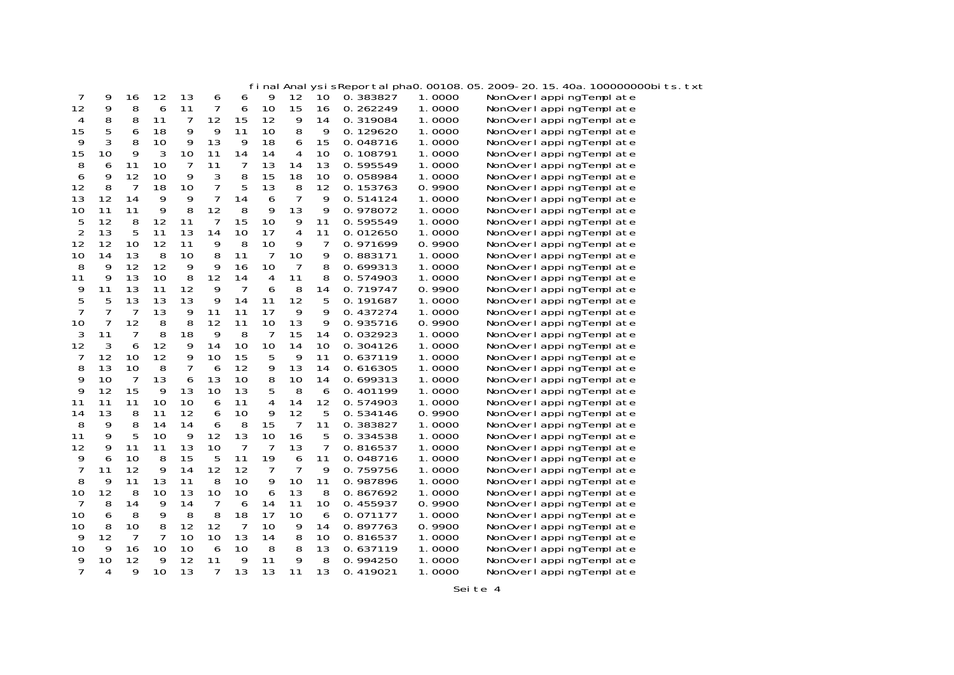|                |                |                |                |                |                      |                      |                      |                     |                     |                      |                  | final Anal ysi sReportal pha0. 00108. 05. 2009-20. 15. 40a. 100000000bits. txt |                                                    |  |  |
|----------------|----------------|----------------|----------------|----------------|----------------------|----------------------|----------------------|---------------------|---------------------|----------------------|------------------|--------------------------------------------------------------------------------|----------------------------------------------------|--|--|
| 7              | 9              | 16             | 12             | 13             | 6                    | 6                    | 9                    | 12                  | 10                  | 0.383827             | 1.0000           |                                                                                | NonOverl appingTemplate                            |  |  |
| 12             | 9              | 8              | 6              | 11             | 7                    | 6                    | 10                   | 15                  | 16                  | 0.262249             | 1.0000           |                                                                                | NonOverl appingTemplate                            |  |  |
| 4              | 8              | 8              | 11             | $\overline{7}$ | 12                   | 15                   | 12                   | 9                   | 14                  | 0.319084             | 1.0000           |                                                                                | NonOverl appingTemplate                            |  |  |
| 15             | 5              | 6              | 18             | 9              | 9                    | 11                   | 10                   | 8                   | 9                   | 0.129620             | 1.0000           |                                                                                | NonOverl appingTemplate                            |  |  |
| 9              | 3              | 8              | 10             | 9              | 13                   | 9                    | 18                   | 6                   | 15                  | 0.048716             | 1.0000           |                                                                                | NonOverl appingTemplate                            |  |  |
| 15             | 10             | 9              | $\mathbf{3}$   | 10             | 11                   | 14                   | 14                   | $\overline{4}$      | 10                  | 0.108791             | 1.0000           |                                                                                | NonOverl appingTemplate                            |  |  |
| 8              | 6              | 11             | 10             | $\overline{7}$ | 11                   | $\overline{7}$       | 13                   | 14                  | 13                  | 0.595549             | 1.0000           |                                                                                | NonOverl appingTemplate                            |  |  |
| 6              | 9              | 12             | 10             | 9              | $\sqrt{3}$           | 8                    | 15                   | 18                  | 10                  | 0.058984             | 1.0000           |                                                                                | NonOverl appingTemplate                            |  |  |
| 12             | 8              | $\overline{7}$ | 18             | 10             | $\overline{7}$       | 5                    | 13                   | 8                   | 12                  | 0.153763             | 0.9900           |                                                                                | NonOverl appingTemplate                            |  |  |
| 13             | 12             | 14             | 9              | 9              | $\overline{7}$       | 14                   | 6                    | $\overline{7}$      | 9                   | 0.514124             | 1.0000           |                                                                                | NonOverl appingTemplate                            |  |  |
| 10             | 11             | 11             | 9              | 8              | 12                   | 8                    | 9                    | 13                  | 9                   | 0.978072             | 1.0000           |                                                                                | NonOverl appingTemplate                            |  |  |
| 5              | 12             | 8              | 12             | 11             | $\overline{7}$       | 15                   | 10                   | 9                   | 11                  | 0.595549             | 1.0000           |                                                                                | NonOverl appingTemplate                            |  |  |
| $\overline{2}$ | 13             | 5              | 11             | 13             | 14                   | 10                   | 17                   | $\overline{4}$      | 11                  | 0.012650             | 1.0000           |                                                                                | NonOverl appingTemplate                            |  |  |
| 12             | 12             | 10             | 12             | 11             | 9                    | 8                    | 10                   | 9                   | $\overline{7}$      | 0.971699             | 0.9900           |                                                                                | NonOverl appingTemplate                            |  |  |
| 10             | 14             | 13             | 8              | 10             | 8                    | 11                   | $\overline{7}$       | 10                  | 9                   | 0.883171             | 1.0000           |                                                                                | NonOverl appingTemplate                            |  |  |
| 8              | 9              | 12             | 12             | 9              | 9                    | 16                   | 10                   | $\overline{7}$      | 8                   | 0.699313             | 1.0000           |                                                                                | NonOverl appingTemplate                            |  |  |
| 11             | 9              | 13             | 10             | 8              | 12                   | 14                   | $\overline{4}$       | 11                  | 8                   | 0.574903             | 1.0000           |                                                                                | NonOverl appingTemplate                            |  |  |
| 9              | 11             | 13             | 11             | 12             | 9                    | 7                    | 6                    | 8                   | 14                  | 0.719747             | 0.9900           |                                                                                | NonOverl appingTemplate                            |  |  |
| 5              | 5              | 13             | 13             | 13             | 9                    | 14                   | 11                   | 12                  | 5                   | 0.191687             | 1.0000           |                                                                                | NonOverl appingTemplate                            |  |  |
| 7              | $\overline{7}$ | $\overline{7}$ | 13             | 9              | 11                   | 11                   | 17                   | 9                   | 9                   | 0.437274             | 1.0000           |                                                                                | NonOverl appingTemplate                            |  |  |
| 10             | $\overline{7}$ | 12             | 8              | 8              | 12                   | 11                   | 10                   | 13                  | 9                   | 0.935716             | 0.9900           |                                                                                | NonOverl appingTemplate                            |  |  |
| 3              | 11             | 7              | 8              | 18             | 9                    | 8                    | $\overline{7}$       | 15                  | 14                  | 0.032923             | 1.0000           |                                                                                | NonOverl appingTemplate                            |  |  |
| 12             | 3              | 6              | 12             | 9              | 14                   | 10                   | 10                   | 14                  | 10                  | 0.304126             | 1.0000           |                                                                                | NonOverl appingTemplate                            |  |  |
| 7              | 12             | 10             | 12             | 9              | 10                   | 15                   | 5                    | 9                   | 11                  | 0.637119             | 1.0000           |                                                                                | NonOverl appingTemplate                            |  |  |
| 8              | 13             | 10             | 8              | $\overline{7}$ | 6                    | 12                   | 9                    | 13                  | 14                  | 0.616305             | 1.0000           |                                                                                | NonOverl appingTemplate                            |  |  |
| 9              | 10             | $\overline{7}$ | 13             | 6              | 13                   | 10                   | 8                    | 10                  | 14                  | 0.699313             | 1.0000           |                                                                                | NonOverl appingTemplate                            |  |  |
| 9              | 12             | 15             | 9              | 13             | 10                   | 13                   | 5                    | 8                   | 6                   | 0.401199             | 1.0000           |                                                                                | Non0verl appingTemplate                            |  |  |
| 11             | 11             | 11             | 10             | 10             | 6                    | 11                   | 4                    | 14                  | 12                  | 0.574903             | 1.0000           |                                                                                | NonOverl appingTemplate                            |  |  |
| 14             | 13             | 8              | 11             | 12             | 6                    | 10                   | 9                    | 12                  | 5                   | 0.534146             | 0.9900           |                                                                                | NonOverl appingTemplate                            |  |  |
| 8              | 9              | 8              | 14             | 14             | 6                    | 8                    | 15<br>10             | $\overline{7}$      | 11                  | 0.383827             | 1.0000           |                                                                                | NonOverl appingTemplate                            |  |  |
| 11<br>12       | 9<br>9         | 5<br>11        | 10<br>11       | 9<br>13        | 12<br>10             | 13<br>$\overline{7}$ | $\overline{7}$       | 16                  | 5<br>$\overline{7}$ | 0.334538             | 1.0000           |                                                                                | NonOverl appingTemplate                            |  |  |
|                |                |                |                | 15             |                      | 11                   |                      | 13                  |                     | 0.816537             | 1.0000           |                                                                                | NonOverl appingTemplate                            |  |  |
| 9<br>7         | 6<br>11        | 10<br>12       | 8<br>9         | 14             | 5<br>12              | 12                   | 19<br>$\overline{7}$ | 6<br>$\overline{7}$ | 11<br>9             | 0.048716             | 1.0000<br>1.0000 |                                                                                | NonOverl appingTemplate                            |  |  |
|                |                | 11             | 13             | 11             |                      | 10                   | 9                    | 10                  | 11                  | 0.759756<br>0.987896 | 1.0000           |                                                                                | NonOverl appingTemplate                            |  |  |
| 8<br>10        | 9              | 8              | 10             | 13             | 8                    | 10                   |                      | 13                  | 8                   |                      | 1.0000           |                                                                                | NonOverl appingTemplate                            |  |  |
| $\overline{7}$ | 12<br>8        | 14             | 9              | 14             | 10<br>$\overline{7}$ | 6                    | 6<br>14              | 11                  | 10                  | 0.867692<br>0.455937 | 0.9900           |                                                                                | NonOverl appingTemplate                            |  |  |
| 10             |                | 8              | 9              | 8              | 8                    | 18                   | 17                   | 10                  |                     | 0.071177             | 1.0000           |                                                                                | NonOverl appingTemplate                            |  |  |
| 10             | 6<br>8         | 10             | 8              | 12             | 12                   | $\overline{7}$       | 10                   | 9                   | 6<br>14             | 0.897763             | 0.9900           |                                                                                | NonOverl appingTemplate                            |  |  |
| 9              | 12             | $\overline{7}$ | $\overline{7}$ | 10             | 10                   | 13                   | 14                   | 8                   | 10                  | 0.816537             | 1.0000           |                                                                                | Non0verl appingTemplate                            |  |  |
| 10             | 9              | 16             | 10             | 10             | 6                    | 10                   | 8                    | 8                   | 13                  | 0.637119             | 1.0000           |                                                                                | NonOverl appingTemplate<br>NonOverl appingTemplate |  |  |
| 9              | 10             | 12             | 9              | 12             | 11                   | 9                    | 11                   | 9                   | 8                   | 0.994250             | 1.0000           |                                                                                | NonOverl appingTemplate                            |  |  |
| $\overline{7}$ | 4              | 9              | 10             | 13             | $\overline{7}$       | 13                   | 13                   | 11                  | 13                  | 0.419021             | 1.0000           |                                                                                | NonOverl appingTemplate                            |  |  |
|                |                |                |                |                |                      |                      |                      |                     |                     |                      |                  |                                                                                |                                                    |  |  |

Seite 4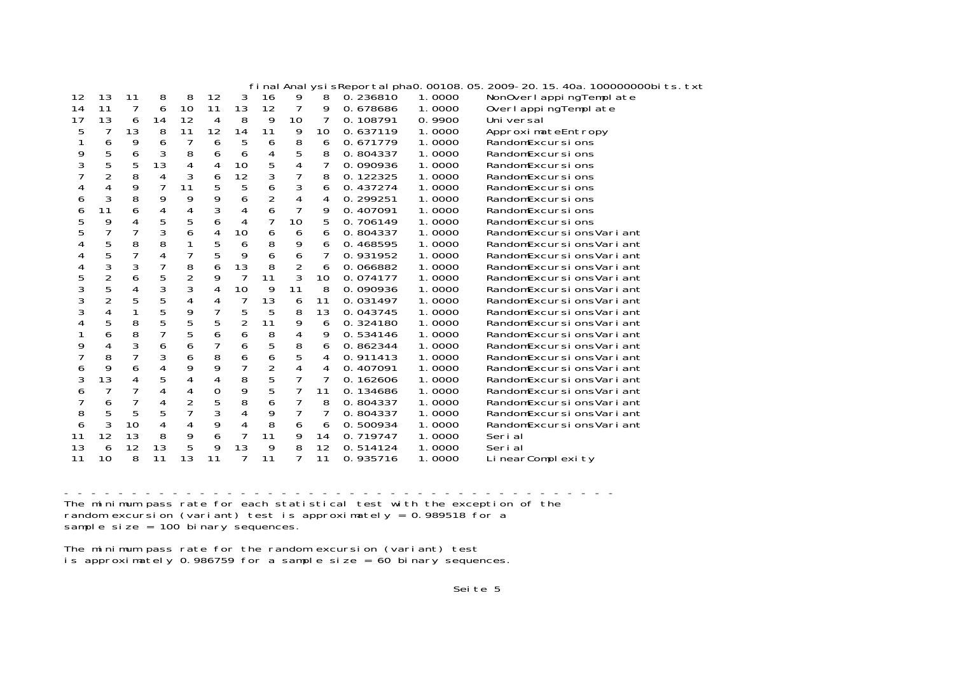|    |                |    |    |    |                |                |                         |                |                |          |        | final Anal ysi sReportal pha0. 00108. 05. 2009-20. 15. 40a. 100000000bits. txt |
|----|----------------|----|----|----|----------------|----------------|-------------------------|----------------|----------------|----------|--------|--------------------------------------------------------------------------------|
| 12 | 13             | 11 | 8  | 8  | 12             | 3              | 16                      | 9              | 8              | 0.236810 | 1.0000 | NonOverl appingTemplate                                                        |
| 14 | 11             | 7  | 6  | 10 | 11             | 13             | 12                      | 7              | 9              | 0.678686 | 1.0000 | Overl apping Templ ate                                                         |
| 17 | 13             | 6  | 14 | 12 | $\overline{4}$ | 8              | 9                       | 10             | $\overline{7}$ | 0.108791 | 0.9900 | Uni versal                                                                     |
| 5  | 7              | 13 | 8  | 11 | 12             | 14             | 11                      | 9              | 10             | 0.637119 | 1.0000 | ApproximateEntropy                                                             |
| 1  | 6              | 9  | 6  | 7  | 6              | 5              | 6                       | 8              | 6              | 0.671779 | 1.0000 | RandomExcursions                                                               |
| 9  | 5              | 6  | 3  | 8  | 6              | 6              | 4                       | 5              | 8              | 0.804337 | 1.0000 | RandomExcursions                                                               |
| 3  | 5              | 5  | 13 | 4  | 4              | 10             | 5                       | 4              | 7              | 0.090936 | 1.0000 | RandomExcursions                                                               |
|    | $\overline{c}$ | 8  | 4  | 3  | 6              | 12             | 3                       | 7              | 8              | 0.122325 | 1.0000 | RandomExcursions                                                               |
| 4  | 4              | 9  | 7  | 11 | 5              | 5              | 6                       | 3              | 6              | 0.437274 | 1.0000 | RandomExcursions                                                               |
| 6  | 3              | 8  | 9  | 9  | 9              | 6              | 2                       | 4              | 4              | 0.299251 | 1.0000 | RandomExcursions                                                               |
| 6  | 11             | 6  | 4  | 4  | 3              | 4              | 6                       | 7              | 9              | 0.407091 | 1.0000 | RandomExcursions                                                               |
| 5  | 9              | 4  | 5  | 5  | 6              | 4              | 7                       | 10             | 5              | 0.706149 | 1.0000 | RandomExcursions                                                               |
| 5  | 7              | 7  | 3  | 6  | 4              | 10             | 6                       | 6              | 6              | 0.804337 | 1.0000 | RandomExcursionsVariant                                                        |
| 4  | 5              | 8  | 8  | 1  | 5              | 6              | 8                       | 9              | 6              | 0.468595 | 1.0000 | RandomExcursionsVariant                                                        |
| 4  | 5              |    | 4  |    | 5              | 9              | 6                       | 6              | 7              | 0.931952 | 1.0000 | RandomExcursionsVariant                                                        |
| 4  | 3              | 3  |    | 8  | 6              | 13             | 8                       | $\overline{2}$ | 6              | 0.066882 | 1.0000 | RandomExcursionsVariant                                                        |
| 5  | 2              | 6  | 5  | 2  | 9              | 7              | 11                      | 3              | 10             | 0.074177 | 1.0000 | RandomExcursionsVariant                                                        |
| 3  | 5              | 4  | 3  | 3  | 4              | 10             | 9                       | 11             | 8              | 0.090936 | 1.0000 | RandomExcursionsVariant                                                        |
| 3  | 2              | 5  | 5  | 4  | 4              | 7              | 13                      | 6              | 11             | 0.031497 | 1.0000 | RandomExcursionsVariant                                                        |
| 3  | 4              |    | 5  | 9  | 7              | 5              | 5                       | 8              | 13             | 0.043745 | 1.0000 | RandomExcursionsVariant                                                        |
| 4  | 5              | 8  | 5  | 5  | 5              | $\overline{2}$ | 11                      | 9              | 6              | 0.324180 | 1.0000 | RandomExcursionsVariant                                                        |
|    | 6              | 8  |    | 5  | 6              | 6              | 8                       | 4              | 9              | 0.534146 | 1.0000 | RandomExcursi onsVari ant                                                      |
| 9  | 4              | 3  | 6  | 6  |                | 6              | 5                       | 8              | 6              | 0.862344 | 1.0000 | RandomExcursionsVariant                                                        |
| 7  | 8              | 7  | 3  | 6  | 8              | 6              | 6                       | 5              | 4              | 0.911413 | 1.0000 | RandomExcursionsVariant                                                        |
| 6  | 9              | 6  | 4  | 9  | 9              | 7              | $\overline{\mathbf{c}}$ | 4              | 4              | 0.407091 | 1.0000 | RandomExcursionsVariant                                                        |
| 3  | 13             | 4  | 5  | 4  | 4              | 8              | 5                       | 7              | 7              | 0.162606 | 1.0000 | RandomExcursionsVariant                                                        |
| 6  | 7              |    | 4  | 4  | $\mathbf 0$    | 9              | 5                       | 7              | 11             | 0.134686 | 1.0000 | RandomExcursi onsVari ant                                                      |
|    | 6              |    | 4  | 2  | 5              | 8              | 6                       | 7              | 8              | 0.804337 | 1.0000 | RandomExcursionsVariant                                                        |
| 8  | 5              | 5  | 5  | 7  | 3              | 4              | 9                       | 7              | 7              | 0.804337 | 1.0000 | RandomExcursionsVariant                                                        |
| 6  | 3              | 10 | 4  | 4  | 9              | 4              | 8                       | 6              | 6              | 0.500934 | 1.0000 | RandomExcursionsVariant                                                        |
| 11 | 12             | 13 | 8  | 9  | 6              | 7              | 11                      | 9              | 14             | 0.719747 | 1.0000 | Seri al                                                                        |
| 13 | 6              | 12 | 13 | 5  | 9              | 13             | 9                       | 8              | 12             | 0.514124 | 1.0000 | Seri al                                                                        |
| 11 | 10             | 8  | 11 | 13 | 11             | 7              | 11                      | 7              | 11             | 0.935716 | 1.0000 | Li nearComplexity                                                              |

- - - - - - - - - - - - - - - - - - - - - - - - - - - - - - - - - - - - - - - - -The minimum pass rate for each statistical test with the exception of the random excursion (variant) test is approximately = 0.989518 for a sample size = 100 binary sequences.

The minimum pass rate for the random excursion (variant) test is approximately 0.986759 for a sample size = 60 binary sequences.